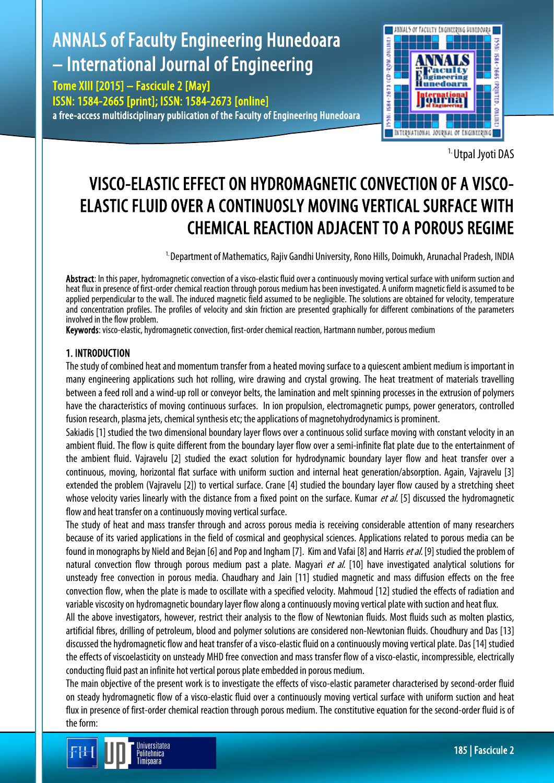# ANNALS of Faculty Engineering Hunedoara – International Journal of Engineering

Tome XIII [2015] – Fascicule 2 [May] ISSN: 1584-2665 [print]; ISSN: 1584-2673 [online] a free-access multidisciplinary publication of the Faculty of Engineering Hunedoara



1. Utpal Jyoti DAS

## VISCO-ELASTIC EFFECT ON HYDROMAGNETIC CONVECTION OF A VISCO-ELASTIC FLUID OVER A CONTINUOSLY MOVING VERTICAL SURFACE WITH CHEMICAL REACTION ADJACENT TO A POROUS REGIME

<sup>1.</sup> Department of Mathematics, Rajiv Gandhi University, Rono Hills, Doimukh, Arunachal Pradesh, INDIA

Abstract: In this paper, hydromagnetic convection of a visco-elastic fluid over a continuously moving vertical surface with uniform suction and heat flux in presence of first-order chemical reaction through porous medium has been investigated. A uniform magnetic field is assumed to be applied perpendicular to the wall. The induced magnetic field assumed to be negligible. The solutions are obtained for velocity, temperature and concentration profiles. The profiles of velocity and skin friction are presented graphically for different combinations of the parameters involved in the flow problem.

Keywords: visco-elastic, hydromagnetic convection, first-order chemical reaction, Hartmann number, porous medium

#### 1. INTRODUCTION

The study of combined heat and momentum transfer from a heated moving surface to a quiescent ambient medium is important in many engineering applications such hot rolling, wire drawing and crystal growing. The heat treatment of materials travelling between a feed roll and a wind-up roll or conveyor belts, the lamination and melt spinning processes in the extrusion of polymers have the characteristics of moving continuous surfaces. In ion propulsion, electromagnetic pumps, power generators, controlled fusion research, plasma jets, chemical synthesis etc; the applications of magnetohydrodynamics is prominent.

Sakiadis [1] studied the two dimensional boundary layer flows over a continuous solid surface moving with constant velocity in an ambient fluid. The flow is quite different from the boundary layer flow over a semi-infinite flat plate due to the entertainment of the ambient fluid. Vajravelu [2] studied the exact solution for hydrodynamic boundary layer flow and heat transfer over a continuous, moving, horizontal flat surface with uniform suction and internal heat generation/absorption. Again, Vajravelu [3] extended the problem (Vajravelu [2]) to vertical surface. Crane [4] studied the boundary layer flow caused by a stretching sheet whose velocity varies linearly with the distance from a fixed point on the surface. Kumar et al. [5] discussed the hydromagnetic flow and heat transfer on a continuously moving vertical surface.

The study of heat and mass transfer through and across porous media is receiving considerable attention of many researchers because of its varied applications in the field of cosmical and geophysical sciences. Applications related to porous media can be found in monographs by Nield and Bejan [6] and Pop and Ingham [7]. Kim and Vafai [8] and Harris et al. [9] studied the problem of natural convection flow through porous medium past a plate. Magyari *et al.* [10] have investigated analytical solutions for unsteady free convection in porous media. Chaudhary and Jain [11] studied magnetic and mass diffusion effects on the free convection flow, when the plate is made to oscillate with a specified velocity. Mahmoud [12] studied the effects of radiation and variable viscosity on hydromagnetic boundary layer flow along a continuously moving vertical plate with suction and heat flux.

All the above investigators, however, restrict their analysis to the flow of Newtonian fluids. Most fluids such as molten plastics, artificial fibres, drilling of petroleum, blood and polymer solutions are considered non-Newtonian fluids. Choudhury and Das [13] discussed the hydromagnetic flow and heat transfer of a visco-elastic fluid on a continuously moving vertical plate. Das [14] studied the effects of viscoelasticity on unsteady MHD free convection and mass transfer flow of a visco-elastic, incompressible, electrically conducting fluid past an infinite hot vertical porous plate embedded in porous medium.

The main objective of the present work is to investigate the effects of visco-elastic parameter characterised by second-order fluid on steady hydromagnetic flow of a visco-elastic fluid over a continuously moving vertical surface with uniform suction and heat flux in presence of first-order chemical reaction through porous medium. The constitutive equation for the second-order fluid is of the form:

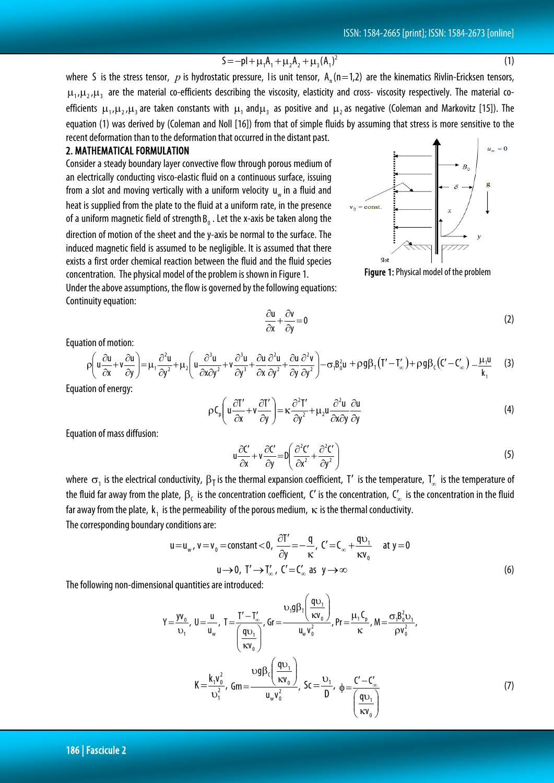### $S = -pl + \mu_1 A_1 + \mu_2 A_2 + \mu_3 (A_1)^2$  (1)

where S is the stress tensor,  $p$  is hydrostatic pressure, I is unit tensor,  $A_n(n=1,2)$  are the kinematics Rivlin-Ericksen tensors,  $\mu_1, \mu_2, \mu_3$  are the material co-efficients describing the viscosity, elasticity and cross- viscosity respectively. The material coefficients  $\mu_1, \mu_2, \mu_3$  are taken constants with  $\mu_1$  and $\mu_3$  as positive and  $\mu_2$  as negative (Coleman and Markovitz [15]). The equation (1) was derived by (Coleman and Noll [16]) from that of simple fluids by assuming that stress is more sensitive to the recent deformation than to the deformation that occurred in the distant past.

#### 2. MATHEMATICAL FORMULATION

Consider a steady boundary layer convective flow through porous medium of an electrically conducting visco-elastic fluid on a continuous surface, issuing from a slot and moving vertically with a uniform velocity  $u_w$  in a fluid and heat is supplied from the plate to the fluid at a uniform rate, in the presence of a uniform magnetic field of strength  $B_0$ . Let the x-axis be taken along the direction of motion of the sheet and the y-axis be normal to the surface. The induced magnetic field is assumed to be negligible. It is assumed that there exists a first order chemical reaction between the fluid and the fluid species concentration. The physical model of the problem is shown in Figure 1.

Under the above assumptions, the flow is governed by the following equations: Continuity equation:

Equation of motion:

$$
\rho \left( u \frac{\partial u}{\partial x} + v \frac{\partial u}{\partial y} \right) = \mu_1 \frac{\partial^2 u}{\partial y^2} + \mu_2 \left( u \frac{\partial^3 u}{\partial x \partial y^2} + v \frac{\partial^3 u}{\partial y^3} + \frac{\partial u}{\partial x} \frac{\partial^2 u}{\partial y^2} + \frac{\partial u}{\partial y} \frac{\partial^2 v}{\partial y^2} \right) - \sigma_1 \beta_0^2 u + \rho g \beta_1 (T' - T'_{\infty}) + \rho g \beta_1 (C' - C'_{\infty}) - \frac{\mu_1 u}{k_1}
$$
 (3)

0 y v  $\frac{\partial v}{\partial x} + \frac{\partial v}{\partial y} =$ 

∂

Equation of energy:

$$
\rho C_p \left( u \frac{\partial T'}{\partial x} + v \frac{\partial T'}{\partial y} \right) = \kappa \frac{\partial^2 T'}{\partial y^2} + \mu_2 u \frac{\partial^2 u}{\partial x \partial y} \frac{\partial u}{\partial y}
$$
(4)

Equation of mass diffusion:

$$
u\frac{\partial C'}{\partial x} + v\frac{\partial C'}{\partial y} = D\left(\frac{\partial^2 C'}{\partial x^2} + \frac{\partial^2 C'}{\partial y^2}\right)
$$
(5)

 $\frac{\partial u}{\partial t} + \frac{\partial v}{\partial t} = 0$  (2)

where  $\sigma_1$  is the electrical conductivity,  $\beta_1$  is the thermal expansion coefficient, T' is the temperature,  $T'_\infty$  is the temperature of the fluid far away from the plate,  $β_0$  is the concentration coefficient, C' is the concentration,  $C_0$  is the concentration in the fluid far away from the plate,  $k_1$  is the permeability of the porous medium,  $\kappa$  is the thermal conductivity. The corresponding boundary conditions are:

$$
u = u_w, v = v_0 = \text{constant} < 0, \quad \frac{\partial T'}{\partial y} = -\frac{q}{\kappa}, \quad C' = C_\infty + \frac{qv_1}{\kappa v_0} \quad \text{at } y = 0
$$
\n
$$
u \to 0, \quad T' \to T'_\infty, \quad C' = C'_\infty \text{ as } y \to \infty \tag{6}
$$

The following non-dimensional quantities are introduced:

$$
Y = \frac{yv_0}{v_1}, \quad U = \frac{u}{u_w}, \quad T = \frac{T' - T'_\infty}{\left(\frac{qv_1}{\kappa v_0}\right)}, \quad G_r = \frac{v_1 g \beta_r \left(\frac{qv_1}{\kappa v_0}\right)}{u_w v_0^2}, \quad Pr = \frac{\mu_r C_p}{\kappa}, \quad M = \frac{\sigma_r B_0^2 v_1}{\rho v_0^2},
$$
\n
$$
K = \frac{k_1 v_0^2}{v_1^2}, \quad G_m = \frac{vg \beta_c \left(\frac{qv_1}{\kappa v_0}\right)}{u_w v_0^2}, \quad Sc = \frac{v_1}{D}, \quad \phi = \frac{C' - C'_\infty}{\left(\frac{qv_1}{\kappa v_0}\right)}\tag{7}
$$

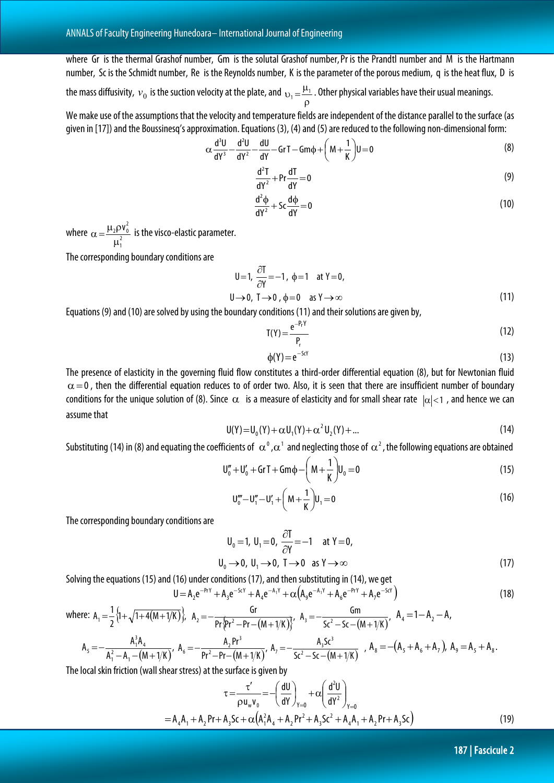where Gr is the thermal Grashof number, Gm is the solutal Grashof number, Pr is the Prandtl number and M is the Hartmann number, Sc is the Schmidt number, Re is the Reynolds number, K is the parameter of the porous medium, q is the heat flux, D is

the mass diffusivity,  $v_0$  is the suction velocity at the plate, and  $v_1 = \frac{\mu}{\rho}$  $v_1 = \frac{\mu_1}{2}$ . Other physical variables have their usual meanings.

We make use of the assumptions that the velocity and temperature fields are independent of the distance parallel to the surface (as given in [17]) and the Boussinesq's approximation. Equations (3), (4) and (5) are reduced to the following non-dimensional form:

$$
\alpha \frac{d^3U}{dY^3} - \frac{d^2U}{dY^2} - \frac{dU}{dY} - GT - Gm\phi + \left(M + \frac{1}{K}\right)U = 0
$$
\n(8)

$$
\frac{d^2T}{dY^2} + Pr \frac{dT}{dY} = 0
$$
 (9)

$$
\frac{d^2\phi}{dY^2} + Sc\frac{d\phi}{dY} = 0\tag{10}
$$

where  $\alpha = \frac{\mu_2 \mu_3}{\mu_1^2}$  $2\rho v_0^2$  $\mu$  $\alpha = \frac{\mu_2 \rho v_0^2}{r^2}$  is the visco-elastic parameter.

The corresponding boundary conditions are

$$
U=1, \frac{\partial T}{\partial Y}=-1, \phi=1 \text{ at } Y=0,
$$
  
 
$$
U \rightarrow 0, T \rightarrow 0, \phi=0 \text{ as } Y \rightarrow \infty
$$
 (11)

Equations (9) and (10) are solved by using the boundary conditions (11) and their solutions are given by,

$$
T(Y) = \frac{e^{-P_r Y}}{P_r}
$$
 (12)

$$
\phi(Y) = e^{-ScY} \tag{13}
$$

The presence of elasticity in the governing fluid flow constitutes a third-order differential equation (8), but for Newtonian fluid  $\alpha$  =0, then the differential equation reduces to of order two. Also, it is seen that there are insufficient number of boundary conditions for the unique solution of (8). Since  $\alpha$  is a measure of elasticity and for small shear rate  $|\alpha| < 1$ , and hence we can assume that

$$
U(Y) = U_0(Y) + \alpha U_1(Y) + \alpha^2 U_2(Y) + \dots
$$
\n(14)

Substituting (14) in (8) and equating the coefficients of  $\,\alpha^{\frak o}$  , $\alpha^{\frak 1}$  and neglecting those of  $\,\alpha^{\frak 2}$  , the following equations are obtained

$$
U''_0 + U'_0 + GrT + Gm\phi - \left(M + \frac{1}{K}\right)U_0 = 0
$$
\n(15)

$$
U_0''' - U_1'' - U_1' + \left(M + \frac{1}{K}\right)U_1 = 0\tag{16}
$$

The corresponding boundary conditions are

$$
U_0 = 1, U_1 = 0, \frac{\partial T}{\partial Y} = -1 \quad \text{at } Y = 0,
$$
  

$$
U_0 \rightarrow 0, U_1 \rightarrow 0, T \rightarrow 0 \quad \text{as } Y \rightarrow \infty
$$
 (17)

Solving the equations (15) and (16) under conditions (17), and then substituting in (14), we get

$$
U = A_2 e^{-P_1 Y} + A_3 e^{-S_2 Y} + A_4 e^{-A_1 Y} + \alpha \left( A_9 e^{-A_1 Y} + A_6 e^{-P_1 Y} + A_7 e^{-S_2 Y} \right)
$$
(18)

where: 
$$
A_1 = \frac{1}{2} \{1 + \sqrt{1 + 4(M + 1/K)}\}
$$
,  $A_2 = -\frac{Gr}{Pr\{Pr^2 - Pr - (M + 1/K)\}}$ ,  $A_3 = -\frac{Gm}{Sc^2 - Sc - (M + 1/K)}}$ ,  $A_4 = 1 - A_2 - A$ ,  
\n $A_5 = -\frac{A_1^3 A_4}{A_1^2 - A_1 - (M + 1/K)}$ ,  $A_6 = -\frac{A_2 Pr^3}{Pr^2 - Pr - (M + 1/K)}$ ,  $A_7 = -\frac{A_3 Sc^3}{Sc^2 - Sc - (M + 1/K)}$ ,  $A_8 = -(A_5 + A_6 + A_7)$ ,  $A_9 = A_5 + A_8$ .

The local skin friction (wall shear stress) at the surface is given by

$$
\tau = \frac{\tau'}{\rho u_w v_0} = -\left(\frac{dU}{dY}\right)_{Y=0} + \alpha \left(\frac{d^2U}{dY^2}\right)_{Y=0}
$$
  
= A<sub>4</sub>A<sub>1</sub> + A<sub>2</sub> Pr + A<sub>3</sub>Sc +  $\alpha \left(A_1^2 A_4 + A_2 P r^2 + A_3 S c^2 + A_4 A_1 + A_2 P r + A_3 S c\right)$  (19)

187 | Fascicule 2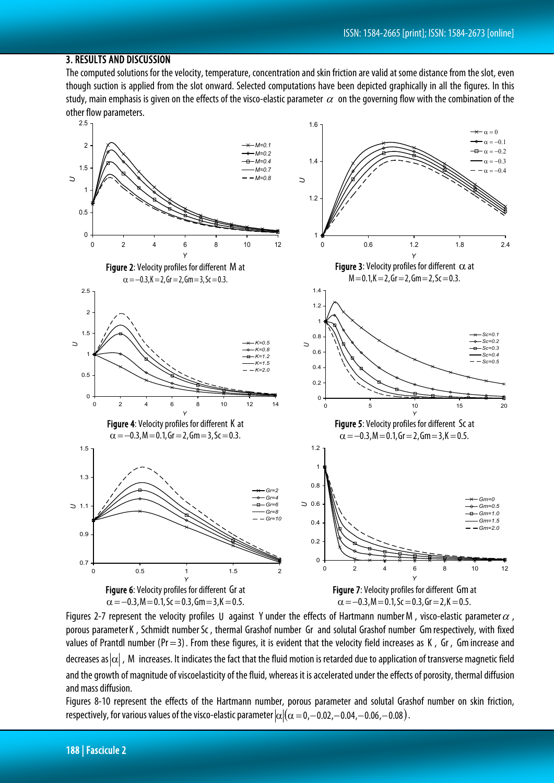#### 3. RESULTS AND DISCUSSION

The computed solutions for the velocity, temperature, concentration and skin friction are valid at some distance from the slot, even though suction is applied from the slot onward. Selected computations have been depicted graphically in all the figures. In this study, main emphasis is given on the effects of the visco-elastic parameter  $\alpha$  on the governing flow with the combination of the other flow parameters.



Figures 2-7 represent the velocity profiles U against Y under the effects of Hartmann numberM, visco-elastic parameter  $\alpha$ , porous parameter K, Schmidt number Sc, thermal Grashof number Gr and solutal Grashof number Gm respectively, with fixed values of Prantdl number (Pr = 3). From these figures, it is evident that the velocity field increases as K, Gr, Gm increase and decreases as  $|\alpha|$ , M increases. It indicates the fact that the fluid motion is retarded due to application of transverse magnetic field and the growth of magnitude of viscoelasticity of the fluid, whereas it is accelerated under the effects of porosity, thermal diffusion and mass diffusion.

Figures 8-10 represent the effects of the Hartmann number, porous parameter and solutal Grashof number on skin friction, respectively, for various values of the visco-elastic parameter  $\alpha/(\alpha = 0, -0.02, -0.04, -0.06, -0.08)$ .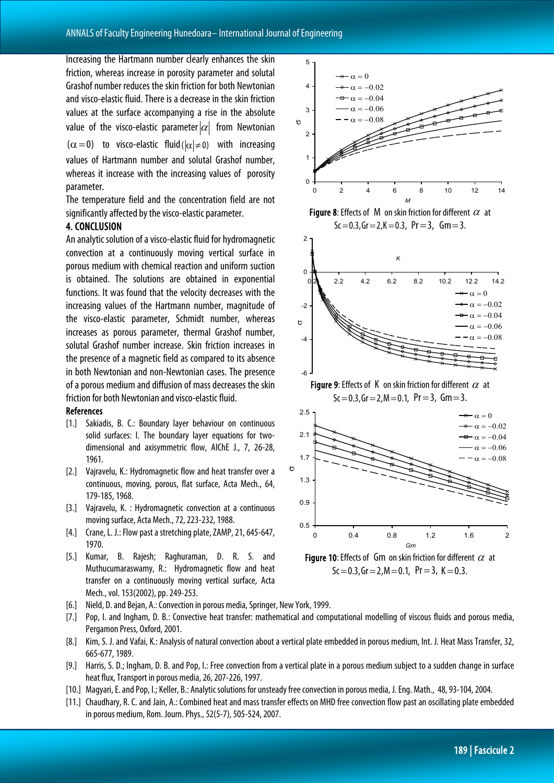Increasing the Hartmann number clearly enhances the skin friction, whereas increase in porosity parameter and solutal Grashof number reduces the skin friction for both Newtonian and visco-elastic fluid. There is a decrease in the skin friction values at the surface accompanying a rise in the absolute value of the visco-elastic parameter  $|\alpha|$  from Newtonian  $(\alpha=0)$  to visco-elastic fluid ( $|\alpha|\neq 0$ ) with increasing values of Hartmann number and solutal Grashof number, whereas it increase with the increasing values of porosity parameter.

The temperature field and the concentration field are not significantly affected by the visco-elastic parameter.

#### 4. CONCLUSION

An analytic solution of a visco-elastic fluid for hydromagnetic convection at a continuously moving vertical surface in porous medium with chemical reaction and uniform suction is obtained. The solutions are obtained in exponential functions. It was found that the velocity decreases with the increasing values of the Hartmann number, magnitude of the visco-elastic parameter, Schmidt number, whereas increases as porous parameter, thermal Grashof number, solutal Grashof number increase. Skin friction increases in the presence of a magnetic field as compared to its absence in both Newtonian and non-Newtonian cases. The presence of a porous medium and diffusion of mass decreases the skin friction for both Newtonian and visco-elastic fluid.

#### References

- [1.] Sakiadis, B. C.: Boundary layer behaviour on continuous solid surfaces: I. The boundary layer equations for twodimensional and axisymmetric flow, AIChE J., 7, 26-28, 1961.
- [2.] Vajravelu, K.: Hydromagnetic flow and heat transfer over a continuous, moving, porous, flat surface, Acta Mech., 64, 179-185, 1968.
- [3.] Vajravelu, K. : Hydromagnetic convection at a continuous moving surface, Acta Mech., 72, 223-232, 1988.
- [4.] Crane, L. J.: Flow past a stretching plate, ZAMP, 21, 645-647, 1970.
- [5.] Kumar, B. Rajesh; Raghuraman, D. R. S. and Muthucumaraswamy, R.: Hydromagnetic flow and heat transfer on a continuously moving vertical surface, Acta Mech., vol. 153(2002), pp. 249-253.
- [6.] Nield, D. and Bejan, A.: Convection in porous media, Springer, New York, 1999.
- [7.] Pop, I. and Ingham, D. B.: Convective heat transfer: mathematical and computational modelling of viscous fluids and porous media, Pergamon Press, Oxford, 2001.
- [8.] Kim, S. J. and Vafai, K.: Analysis of natural convection about a vertical plate embedded in porous medium, Int. J. Heat Mass Transfer, 32, 665-677, 1989.
- [9.] Harris, S. D.; Ingham, D. B. and Pop, I.: Free convection from a vertical plate in a porous medium subject to a sudden change in surface heat flux, Transport in porous media, 26, 207-226, 1997.
- [10.] Magyari, E. and Pop, I.; Keller, B.: Analytic solutions for unsteady free convection in porous media, J. Eng. Math., 48, 93-104, 2004.
- [11.] Chaudhary, R. C. and Jain, A.: Combined heat and mass transfer effects on MHD free convection flow past an oscillating plate embedded in porous medium, Rom. Journ. Phys., 52(5-7), 505-524, 2007.